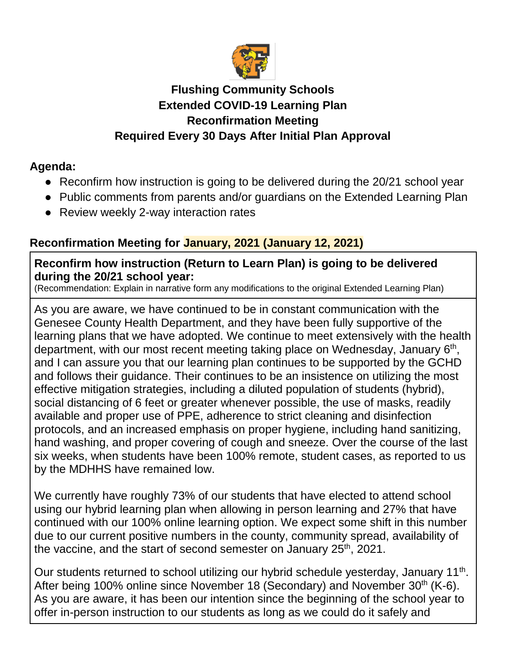

## **Flushing Community Schools Extended COVID-19 Learning Plan Reconfirmation Meeting Required Every 30 Days After Initial Plan Approval**

## **Agenda:**

- Reconfirm how instruction is going to be delivered during the 20/21 school year
- Public comments from parents and/or guardians on the Extended Learning Plan
- Review weekly 2-way interaction rates

# **Reconfirmation Meeting for January, 2021 (January 12, 2021)**

#### **Reconfirm how instruction (Return to Learn Plan) is going to be delivered during the 20/21 school year:**

(Recommendation: Explain in narrative form any modifications to the original Extended Learning Plan)

As you are aware, we have continued to be in constant communication with the Genesee County Health Department, and they have been fully supportive of the learning plans that we have adopted. We continue to meet extensively with the health department, with our most recent meeting taking place on Wednesday, January 6<sup>th</sup>, and I can assure you that our learning plan continues to be supported by the GCHD and follows their guidance. Their continues to be an insistence on utilizing the most effective mitigation strategies, including a diluted population of students (hybrid), social distancing of 6 feet or greater whenever possible, the use of masks, readily available and proper use of PPE, adherence to strict cleaning and disinfection protocols, and an increased emphasis on proper hygiene, including hand sanitizing, hand washing, and proper covering of cough and sneeze. Over the course of the last six weeks, when students have been 100% remote, student cases, as reported to us by the MDHHS have remained low.

We currently have roughly 73% of our students that have elected to attend school using our hybrid learning plan when allowing in person learning and 27% that have continued with our 100% online learning option. We expect some shift in this number due to our current positive numbers in the county, community spread, availability of the vaccine, and the start of second semester on January  $25<sup>th</sup>$ , 2021.

Our students returned to school utilizing our hybrid schedule yesterday, January 11<sup>th</sup>. After being 100% online since November 18 (Secondary) and November 30<sup>th</sup> (K-6). As you are aware, it has been our intention since the beginning of the school year to offer in-person instruction to our students as long as we could do it safely and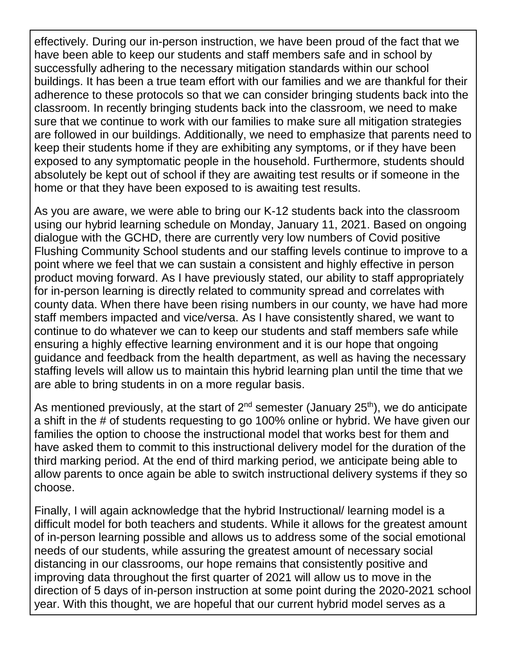effectively. During our in-person instruction, we have been proud of the fact that we have been able to keep our students and staff members safe and in school by successfully adhering to the necessary mitigation standards within our school buildings. It has been a true team effort with our families and we are thankful for their adherence to these protocols so that we can consider bringing students back into the classroom. In recently bringing students back into the classroom, we need to make sure that we continue to work with our families to make sure all mitigation strategies are followed in our buildings. Additionally, we need to emphasize that parents need to keep their students home if they are exhibiting any symptoms, or if they have been exposed to any symptomatic people in the household. Furthermore, students should absolutely be kept out of school if they are awaiting test results or if someone in the home or that they have been exposed to is awaiting test results.

As you are aware, we were able to bring our K-12 students back into the classroom using our hybrid learning schedule on Monday, January 11, 2021. Based on ongoing dialogue with the GCHD, there are currently very low numbers of Covid positive Flushing Community School students and our staffing levels continue to improve to a point where we feel that we can sustain a consistent and highly effective in person product moving forward. As I have previously stated, our ability to staff appropriately for in-person learning is directly related to community spread and correlates with county data. When there have been rising numbers in our county, we have had more staff members impacted and vice/versa. As I have consistently shared, we want to continue to do whatever we can to keep our students and staff members safe while ensuring a highly effective learning environment and it is our hope that ongoing guidance and feedback from the health department, as well as having the necessary staffing levels will allow us to maintain this hybrid learning plan until the time that we are able to bring students in on a more regular basis.

As mentioned previously, at the start of  $2^{nd}$  semester (January  $25^{th}$ ), we do anticipate a shift in the # of students requesting to go 100% online or hybrid. We have given our families the option to choose the instructional model that works best for them and have asked them to commit to this instructional delivery model for the duration of the third marking period. At the end of third marking period, we anticipate being able to allow parents to once again be able to switch instructional delivery systems if they so choose.

Finally, I will again acknowledge that the hybrid Instructional/ learning model is a difficult model for both teachers and students. While it allows for the greatest amount of in-person learning possible and allows us to address some of the social emotional needs of our students, while assuring the greatest amount of necessary social distancing in our classrooms, our hope remains that consistently positive and improving data throughout the first quarter of 2021 will allow us to move in the direction of 5 days of in-person instruction at some point during the 2020-2021 school year. With this thought, we are hopeful that our current hybrid model serves as a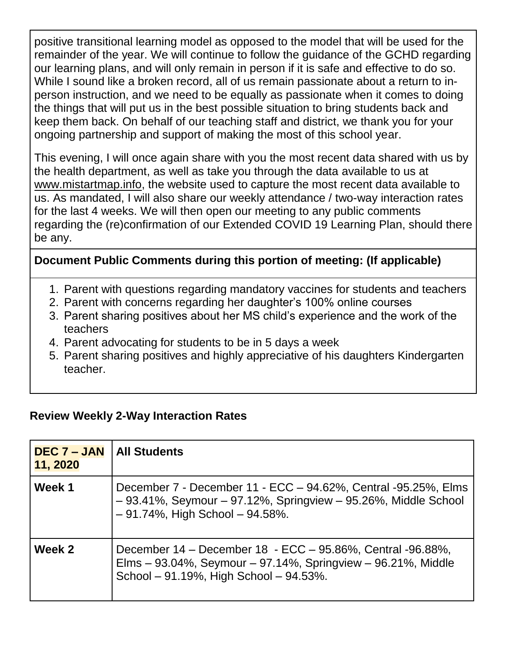positive transitional learning model as opposed to the model that will be used for the remainder of the year. We will continue to follow the guidance of the GCHD regarding our learning plans, and will only remain in person if it is safe and effective to do so. While I sound like a broken record, all of us remain passionate about a return to inperson instruction, and we need to be equally as passionate when it comes to doing the things that will put us in the best possible situation to bring students back and keep them back. On behalf of our teaching staff and district, we thank you for your ongoing partnership and support of making the most of this school year.

This evening, I will once again share with you the most recent data shared with us by the health department, as well as take you through the data available to us at [www.mistartmap.info,](http://www.mistartmap.info/) the website used to capture the most recent data available to us. As mandated, I will also share our weekly attendance / two-way interaction rates for the last 4 weeks. We will then open our meeting to any public comments regarding the (re)confirmation of our Extended COVID 19 Learning Plan, should there be any.

## **Document Public Comments during this portion of meeting: (If applicable)**

- 1. Parent with questions regarding mandatory vaccines for students and teachers
- 2. Parent with concerns regarding her daughter's 100% online courses
- 3. Parent sharing positives about her MS child's experience and the work of the teachers
- 4. Parent advocating for students to be in 5 days a week
- 5. Parent sharing positives and highly appreciative of his daughters Kindergarten teacher.

#### **Review Weekly 2-Way Interaction Rates**

| $DEC 7 - JAN$<br>11, 2020 | <b>All Students</b>                                                                                                                                                                |
|---------------------------|------------------------------------------------------------------------------------------------------------------------------------------------------------------------------------|
| Week 1                    | December 7 - December 11 - ECC – 94.62%, Central -95.25%, Elms<br>$-93.41\%$ , Seymour $-97.12\%$ , Springview $-95.26\%$ , Middle School<br>$-91.74\%$ , High School $-94.58\%$ . |
| Week 2                    | December 14 – December 18 - ECC – 95.86%, Central -96.88%,<br>Elms - 93.04%, Seymour - 97.14%, Springview - 96.21%, Middle<br>School - 91.19%, High School - 94.53%.               |